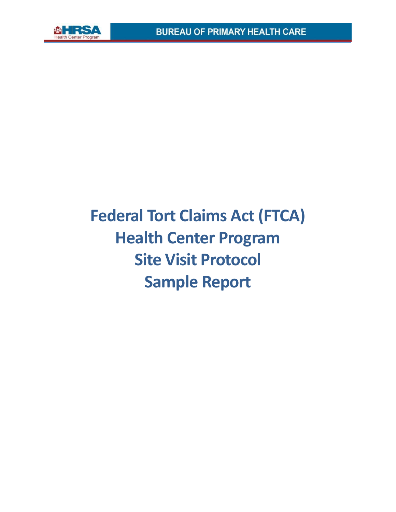

# **Federal Tort Claims Act (FTCA) Health Center Program Site Visit Protocol Sample Report**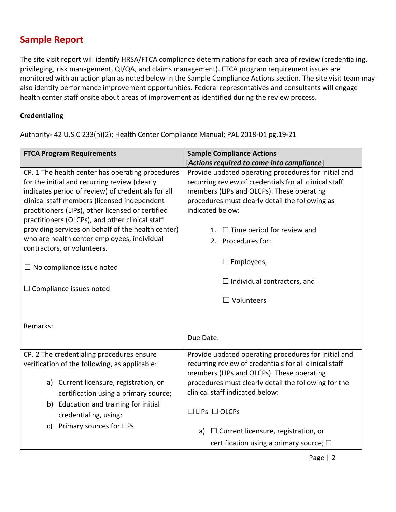## **Sample Report**

The site visit report will identify HRSA/FTCA compliance determinations for each area of review (credentialing, privileging, risk management, QI/QA, and claims management). FTCA program requirement issues are monitored with an action plan as noted below in the Sample Compliance Actions section. The site visit team may also identify performance improvement opportunities. Federal representatives and consultants will engage health center staff onsite about areas of improvement as identified during the review process.

#### **Credentialing**

Authority- 42 U.S.C 233(h)(2); Health Center Compliance Manual; PAL 2018-01 pg.19-21

| <b>FTCA Program Requirements</b>                                                                                                                                                                                                                                                                                                                                      | <b>Sample Compliance Actions</b>                                                                                                                                                                                                                       |
|-----------------------------------------------------------------------------------------------------------------------------------------------------------------------------------------------------------------------------------------------------------------------------------------------------------------------------------------------------------------------|--------------------------------------------------------------------------------------------------------------------------------------------------------------------------------------------------------------------------------------------------------|
|                                                                                                                                                                                                                                                                                                                                                                       | [Actions required to come into compliance]                                                                                                                                                                                                             |
| CP. 1 The health center has operating procedures<br>for the initial and recurring review (clearly<br>indicates period of review) of credentials for all<br>clinical staff members (licensed independent<br>practitioners (LIPs), other licensed or certified<br>practitioners (OLCPs), and other clinical staff<br>providing services on behalf of the health center) | Provide updated operating procedures for initial and<br>recurring review of credentials for all clinical staff<br>members (LIPs and OLCPs). These operating<br>procedures must clearly detail the following as<br>indicated below:                     |
| who are health center employees, individual<br>contractors, or volunteers.                                                                                                                                                                                                                                                                                            | $\Box$ Time period for review and<br>1.<br>2. Procedures for:                                                                                                                                                                                          |
| $\Box$ No compliance issue noted                                                                                                                                                                                                                                                                                                                                      | $\Box$ Employees,                                                                                                                                                                                                                                      |
| $\Box$ Compliance issues noted                                                                                                                                                                                                                                                                                                                                        | $\Box$ Individual contractors, and                                                                                                                                                                                                                     |
| Remarks:                                                                                                                                                                                                                                                                                                                                                              | $\Box$ Volunteers                                                                                                                                                                                                                                      |
|                                                                                                                                                                                                                                                                                                                                                                       | Due Date:                                                                                                                                                                                                                                              |
| CP. 2 The credentialing procedures ensure<br>verification of the following, as applicable:<br>Current licensure, registration, or<br>a)<br>certification using a primary source;                                                                                                                                                                                      | Provide updated operating procedures for initial and<br>recurring review of credentials for all clinical staff<br>members (LIPs and OLCPs). These operating<br>procedures must clearly detail the following for the<br>clinical staff indicated below: |
| b) Education and training for initial<br>credentialing, using:<br>Primary sources for LIPs<br>c)                                                                                                                                                                                                                                                                      | $\Box$ LIPs $\Box$ OLCPs                                                                                                                                                                                                                               |
|                                                                                                                                                                                                                                                                                                                                                                       | $\Box$ Current licensure, registration, or<br>a)                                                                                                                                                                                                       |
|                                                                                                                                                                                                                                                                                                                                                                       | certification using a primary source; $\square$                                                                                                                                                                                                        |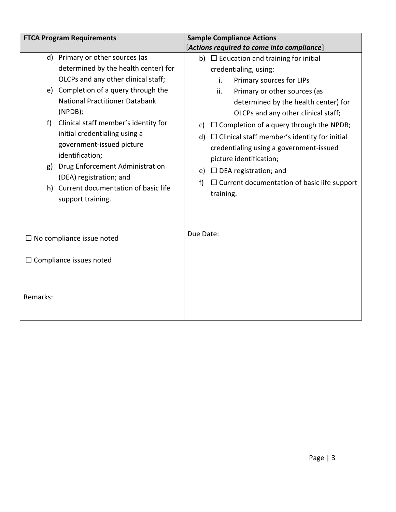|                                  | <b>FTCA Program Requirements</b>                                                                                                                                                                                                                                                                                                                                                                                                                           | <b>Sample Compliance Actions</b>                                                                                                                                                                                                                                                                                                                                                                                                                                                                                                  |
|----------------------------------|------------------------------------------------------------------------------------------------------------------------------------------------------------------------------------------------------------------------------------------------------------------------------------------------------------------------------------------------------------------------------------------------------------------------------------------------------------|-----------------------------------------------------------------------------------------------------------------------------------------------------------------------------------------------------------------------------------------------------------------------------------------------------------------------------------------------------------------------------------------------------------------------------------------------------------------------------------------------------------------------------------|
|                                  |                                                                                                                                                                                                                                                                                                                                                                                                                                                            | [Actions required to come into compliance]                                                                                                                                                                                                                                                                                                                                                                                                                                                                                        |
| d)<br>e)<br>f)<br>g)             | Primary or other sources (as<br>determined by the health center) for<br>OLCPs and any other clinical staff;<br>Completion of a query through the<br><b>National Practitioner Databank</b><br>(NPDB);<br>Clinical staff member's identity for<br>initial credentialing using a<br>government-issued picture<br>identification;<br>Drug Enforcement Administration<br>(DEA) registration; and<br>h) Current documentation of basic life<br>support training. | b) $\Box$ Education and training for initial<br>credentialing, using:<br>Primary sources for LIPs<br>i.<br>ii.<br>Primary or other sources (as<br>determined by the health center) for<br>OLCPs and any other clinical staff;<br>$\Box$ Completion of a query through the NPDB;<br>c)<br>d) $\Box$ Clinical staff member's identity for initial<br>credentialing using a government-issued<br>picture identification;<br>e) $\Box$ DEA registration; and<br>$\Box$ Current documentation of basic life support<br>f)<br>training. |
| $\Box$ No compliance issue noted |                                                                                                                                                                                                                                                                                                                                                                                                                                                            | Due Date:                                                                                                                                                                                                                                                                                                                                                                                                                                                                                                                         |
|                                  | Compliance issues noted                                                                                                                                                                                                                                                                                                                                                                                                                                    |                                                                                                                                                                                                                                                                                                                                                                                                                                                                                                                                   |
| Remarks:                         |                                                                                                                                                                                                                                                                                                                                                                                                                                                            |                                                                                                                                                                                                                                                                                                                                                                                                                                                                                                                                   |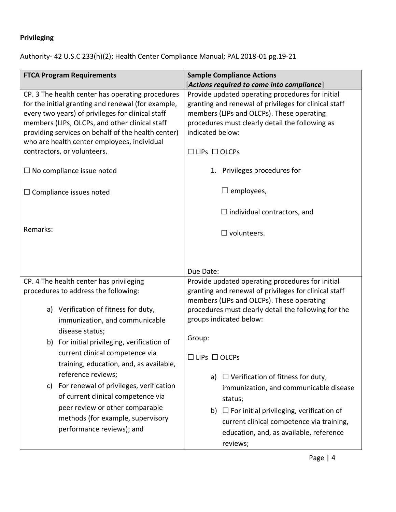## **Privileging**

Authority- 42 U.S.C 233(h)(2); Health Center Compliance Manual; PAL 2018-01 pg.19-21

| <b>FTCA Program Requirements</b>                                                                                                                                                                                                                                                                                                                  | <b>Sample Compliance Actions</b><br>[Actions required to come into compliance]                                                                                                                                                                                   |
|---------------------------------------------------------------------------------------------------------------------------------------------------------------------------------------------------------------------------------------------------------------------------------------------------------------------------------------------------|------------------------------------------------------------------------------------------------------------------------------------------------------------------------------------------------------------------------------------------------------------------|
| CP. 3 The health center has operating procedures<br>for the initial granting and renewal (for example,<br>every two years) of privileges for clinical staff<br>members (LIPs, OLCPs, and other clinical staff<br>providing services on behalf of the health center)<br>who are health center employees, individual<br>contractors, or volunteers. | Provide updated operating procedures for initial<br>granting and renewal of privileges for clinical staff<br>members (LIPs and OLCPs). These operating<br>procedures must clearly detail the following as<br>indicated below:<br>$\Box$ LIPs $\Box$ OLCPs        |
| $\Box$ No compliance issue noted                                                                                                                                                                                                                                                                                                                  | 1. Privileges procedures for                                                                                                                                                                                                                                     |
| $\Box$ Compliance issues noted                                                                                                                                                                                                                                                                                                                    | $\Box$ employees,                                                                                                                                                                                                                                                |
| Remarks:                                                                                                                                                                                                                                                                                                                                          | $\Box$ individual contractors, and<br>$\square$ volunteers.                                                                                                                                                                                                      |
|                                                                                                                                                                                                                                                                                                                                                   | Due Date:                                                                                                                                                                                                                                                        |
| CP. 4 The health center has privileging<br>procedures to address the following:<br>a) Verification of fitness for duty,<br>immunization, and communicable                                                                                                                                                                                         | Provide updated operating procedures for initial<br>granting and renewal of privileges for clinical staff<br>members (LIPs and OLCPs). These operating<br>procedures must clearly detail the following for the<br>groups indicated below:                        |
| disease status;<br>b) For initial privileging, verification of<br>current clinical competence via<br>training, education, and, as available,                                                                                                                                                                                                      | Group:<br>$\Box$ LIPs $\Box$ OLCPs                                                                                                                                                                                                                               |
| reference reviews;<br>For renewal of privileges, verification<br>C)<br>of current clinical competence via<br>peer review or other comparable<br>methods (for example, supervisory<br>performance reviews); and                                                                                                                                    | $\Box$ Verification of fitness for duty,<br>a)<br>immunization, and communicable disease<br>status;<br>$\Box$ For initial privileging, verification of<br>b)<br>current clinical competence via training,<br>education, and, as available, reference<br>reviews; |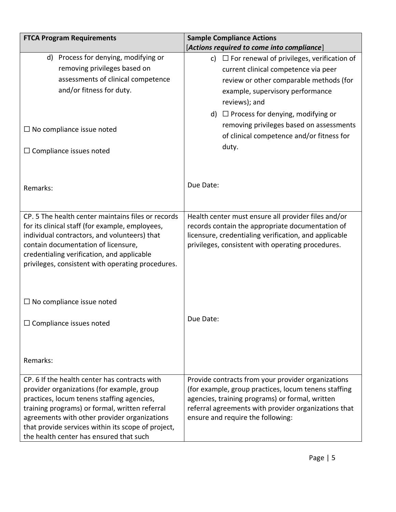| <b>FTCA Program Requirements</b>                                                  | <b>Sample Compliance Actions</b>                        |
|-----------------------------------------------------------------------------------|---------------------------------------------------------|
|                                                                                   | [Actions required to come into compliance]              |
| d) Process for denying, modifying or                                              | $\Box$ For renewal of privileges, verification of<br>c) |
| removing privileges based on                                                      | current clinical competence via peer                    |
| assessments of clinical competence                                                | review or other comparable methods (for                 |
| and/or fitness for duty.                                                          | example, supervisory performance                        |
|                                                                                   | reviews); and                                           |
|                                                                                   | d) $\Box$ Process for denying, modifying or             |
|                                                                                   | removing privileges based on assessments                |
| $\Box$ No compliance issue noted                                                  | of clinical competence and/or fitness for               |
|                                                                                   | duty.                                                   |
| $\Box$ Compliance issues noted                                                    |                                                         |
|                                                                                   |                                                         |
|                                                                                   |                                                         |
| Remarks:                                                                          | Due Date:                                               |
|                                                                                   |                                                         |
|                                                                                   |                                                         |
| CP. 5 The health center maintains files or records                                | Health center must ensure all provider files and/or     |
| for its clinical staff (for example, employees,                                   | records contain the appropriate documentation of        |
| individual contractors, and volunteers) that                                      | licensure, credentialing verification, and applicable   |
| contain documentation of licensure,<br>credentialing verification, and applicable | privileges, consistent with operating procedures.       |
| privileges, consistent with operating procedures.                                 |                                                         |
|                                                                                   |                                                         |
|                                                                                   |                                                         |
|                                                                                   |                                                         |
| $\Box$ No compliance issue noted                                                  |                                                         |
|                                                                                   | Due Date:                                               |
| $\Box$ Compliance issues noted                                                    |                                                         |
|                                                                                   |                                                         |
|                                                                                   |                                                         |
| Remarks:                                                                          |                                                         |
|                                                                                   |                                                         |
| CP. 6 If the health center has contracts with                                     | Provide contracts from your provider organizations      |
| provider organizations (for example, group                                        | (for example, group practices, locum tenens staffing    |
| practices, locum tenens staffing agencies,                                        | agencies, training programs) or formal, written         |
| training programs) or formal, written referral                                    | referral agreements with provider organizations that    |
| agreements with other provider organizations                                      | ensure and require the following:                       |
| that provide services within its scope of project,                                |                                                         |
| the health center has ensured that such                                           |                                                         |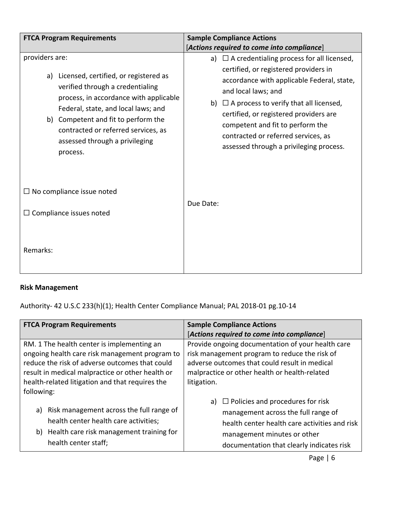| <b>FTCA Program Requirements</b>                                                                                                                                                                                                                                                                            | <b>Sample Compliance Actions</b>                                                                                                                                                                                                                                                                                                                                                         |
|-------------------------------------------------------------------------------------------------------------------------------------------------------------------------------------------------------------------------------------------------------------------------------------------------------------|------------------------------------------------------------------------------------------------------------------------------------------------------------------------------------------------------------------------------------------------------------------------------------------------------------------------------------------------------------------------------------------|
|                                                                                                                                                                                                                                                                                                             | [Actions required to come into compliance]                                                                                                                                                                                                                                                                                                                                               |
| providers are:<br>a) Licensed, certified, or registered as<br>verified through a credentialing<br>process, in accordance with applicable<br>Federal, state, and local laws; and<br>b) Competent and fit to perform the<br>contracted or referred services, as<br>assessed through a privileging<br>process. | a) $\Box$ A credentialing process for all licensed,<br>certified, or registered providers in<br>accordance with applicable Federal, state,<br>and local laws; and<br>$\Box$ A process to verify that all licensed,<br>b)<br>certified, or registered providers are<br>competent and fit to perform the<br>contracted or referred services, as<br>assessed through a privileging process. |
| $\Box$ No compliance issue noted                                                                                                                                                                                                                                                                            |                                                                                                                                                                                                                                                                                                                                                                                          |
| $\Box$ Compliance issues noted                                                                                                                                                                                                                                                                              | Due Date:                                                                                                                                                                                                                                                                                                                                                                                |
| Remarks:                                                                                                                                                                                                                                                                                                    |                                                                                                                                                                                                                                                                                                                                                                                          |

#### **Risk Management**

Authority- 42 U.S.C 233(h)(1); Health Center Compliance Manual; PAL 2018-01 pg.10-14

| <b>FTCA Program Requirements</b>                 | <b>Sample Compliance Actions</b>                  |
|--------------------------------------------------|---------------------------------------------------|
|                                                  | [Actions required to come into compliance]        |
| RM. 1 The health center is implementing an       | Provide ongoing documentation of your health care |
| ongoing health care risk management program to   | risk management program to reduce the risk of     |
| reduce the risk of adverse outcomes that could   | adverse outcomes that could result in medical     |
| result in medical malpractice or other health or | malpractice or other health or health-related     |
| health-related litigation and that requires the  | litigation.                                       |
| following:                                       |                                                   |
|                                                  | $\Box$ Policies and procedures for risk           |
| a) Risk management across the full range of      | management across the full range of               |
| health center health care activities;            | health center health care activities and risk     |
| b) Health care risk management training for      |                                                   |
|                                                  | management minutes or other                       |
| health center staff;                             | documentation that clearly indicates risk         |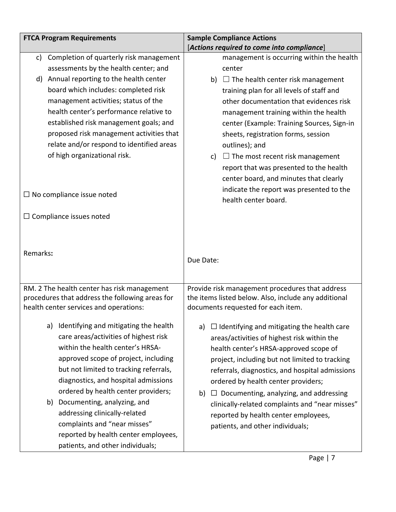| <b>FTCA Program Requirements</b>                                                                                                                                                                                                                                                                                                                                                                                                                                         | <b>Sample Compliance Actions</b>                                                                                                                                                                                                                                                                                                                                                                                                                                            |
|--------------------------------------------------------------------------------------------------------------------------------------------------------------------------------------------------------------------------------------------------------------------------------------------------------------------------------------------------------------------------------------------------------------------------------------------------------------------------|-----------------------------------------------------------------------------------------------------------------------------------------------------------------------------------------------------------------------------------------------------------------------------------------------------------------------------------------------------------------------------------------------------------------------------------------------------------------------------|
|                                                                                                                                                                                                                                                                                                                                                                                                                                                                          | [Actions required to come into compliance]                                                                                                                                                                                                                                                                                                                                                                                                                                  |
| Completion of quarterly risk management<br>C)                                                                                                                                                                                                                                                                                                                                                                                                                            | management is occurring within the health                                                                                                                                                                                                                                                                                                                                                                                                                                   |
| assessments by the health center; and                                                                                                                                                                                                                                                                                                                                                                                                                                    | center                                                                                                                                                                                                                                                                                                                                                                                                                                                                      |
| Annual reporting to the health center<br>d)                                                                                                                                                                                                                                                                                                                                                                                                                              | b) $\Box$ The health center risk management                                                                                                                                                                                                                                                                                                                                                                                                                                 |
| board which includes: completed risk                                                                                                                                                                                                                                                                                                                                                                                                                                     | training plan for all levels of staff and                                                                                                                                                                                                                                                                                                                                                                                                                                   |
| management activities; status of the                                                                                                                                                                                                                                                                                                                                                                                                                                     | other documentation that evidences risk                                                                                                                                                                                                                                                                                                                                                                                                                                     |
| health center's performance relative to                                                                                                                                                                                                                                                                                                                                                                                                                                  | management training within the health                                                                                                                                                                                                                                                                                                                                                                                                                                       |
| established risk management goals; and                                                                                                                                                                                                                                                                                                                                                                                                                                   | center (Example: Training Sources, Sign-in                                                                                                                                                                                                                                                                                                                                                                                                                                  |
| proposed risk management activities that                                                                                                                                                                                                                                                                                                                                                                                                                                 | sheets, registration forms, session                                                                                                                                                                                                                                                                                                                                                                                                                                         |
| relate and/or respond to identified areas                                                                                                                                                                                                                                                                                                                                                                                                                                | outlines); and                                                                                                                                                                                                                                                                                                                                                                                                                                                              |
| of high organizational risk.                                                                                                                                                                                                                                                                                                                                                                                                                                             | c) $\Box$ The most recent risk management                                                                                                                                                                                                                                                                                                                                                                                                                                   |
|                                                                                                                                                                                                                                                                                                                                                                                                                                                                          | report that was presented to the health                                                                                                                                                                                                                                                                                                                                                                                                                                     |
|                                                                                                                                                                                                                                                                                                                                                                                                                                                                          | center board, and minutes that clearly                                                                                                                                                                                                                                                                                                                                                                                                                                      |
|                                                                                                                                                                                                                                                                                                                                                                                                                                                                          | indicate the report was presented to the                                                                                                                                                                                                                                                                                                                                                                                                                                    |
| $\Box$ No compliance issue noted                                                                                                                                                                                                                                                                                                                                                                                                                                         | health center board.                                                                                                                                                                                                                                                                                                                                                                                                                                                        |
|                                                                                                                                                                                                                                                                                                                                                                                                                                                                          |                                                                                                                                                                                                                                                                                                                                                                                                                                                                             |
| $\Box$ Compliance issues noted                                                                                                                                                                                                                                                                                                                                                                                                                                           |                                                                                                                                                                                                                                                                                                                                                                                                                                                                             |
|                                                                                                                                                                                                                                                                                                                                                                                                                                                                          |                                                                                                                                                                                                                                                                                                                                                                                                                                                                             |
|                                                                                                                                                                                                                                                                                                                                                                                                                                                                          |                                                                                                                                                                                                                                                                                                                                                                                                                                                                             |
| Remarks:                                                                                                                                                                                                                                                                                                                                                                                                                                                                 |                                                                                                                                                                                                                                                                                                                                                                                                                                                                             |
|                                                                                                                                                                                                                                                                                                                                                                                                                                                                          | Due Date:                                                                                                                                                                                                                                                                                                                                                                                                                                                                   |
|                                                                                                                                                                                                                                                                                                                                                                                                                                                                          |                                                                                                                                                                                                                                                                                                                                                                                                                                                                             |
| RM. 2 The health center has risk management                                                                                                                                                                                                                                                                                                                                                                                                                              | Provide risk management procedures that address                                                                                                                                                                                                                                                                                                                                                                                                                             |
| procedures that address the following areas for                                                                                                                                                                                                                                                                                                                                                                                                                          | the items listed below. Also, include any additional                                                                                                                                                                                                                                                                                                                                                                                                                        |
| health center services and operations:                                                                                                                                                                                                                                                                                                                                                                                                                                   | documents requested for each item.                                                                                                                                                                                                                                                                                                                                                                                                                                          |
|                                                                                                                                                                                                                                                                                                                                                                                                                                                                          |                                                                                                                                                                                                                                                                                                                                                                                                                                                                             |
|                                                                                                                                                                                                                                                                                                                                                                                                                                                                          |                                                                                                                                                                                                                                                                                                                                                                                                                                                                             |
|                                                                                                                                                                                                                                                                                                                                                                                                                                                                          |                                                                                                                                                                                                                                                                                                                                                                                                                                                                             |
|                                                                                                                                                                                                                                                                                                                                                                                                                                                                          |                                                                                                                                                                                                                                                                                                                                                                                                                                                                             |
|                                                                                                                                                                                                                                                                                                                                                                                                                                                                          |                                                                                                                                                                                                                                                                                                                                                                                                                                                                             |
|                                                                                                                                                                                                                                                                                                                                                                                                                                                                          |                                                                                                                                                                                                                                                                                                                                                                                                                                                                             |
|                                                                                                                                                                                                                                                                                                                                                                                                                                                                          |                                                                                                                                                                                                                                                                                                                                                                                                                                                                             |
|                                                                                                                                                                                                                                                                                                                                                                                                                                                                          |                                                                                                                                                                                                                                                                                                                                                                                                                                                                             |
|                                                                                                                                                                                                                                                                                                                                                                                                                                                                          |                                                                                                                                                                                                                                                                                                                                                                                                                                                                             |
|                                                                                                                                                                                                                                                                                                                                                                                                                                                                          |                                                                                                                                                                                                                                                                                                                                                                                                                                                                             |
|                                                                                                                                                                                                                                                                                                                                                                                                                                                                          |                                                                                                                                                                                                                                                                                                                                                                                                                                                                             |
|                                                                                                                                                                                                                                                                                                                                                                                                                                                                          |                                                                                                                                                                                                                                                                                                                                                                                                                                                                             |
| Identifying and mitigating the health<br>a)<br>care areas/activities of highest risk<br>within the health center's HRSA-<br>approved scope of project, including<br>but not limited to tracking referrals,<br>diagnostics, and hospital admissions<br>ordered by health center providers;<br>b) Documenting, analyzing, and<br>addressing clinically-related<br>complaints and "near misses"<br>reported by health center employees,<br>patients, and other individuals; | $\Box$ Identifying and mitigating the health care<br>a)<br>areas/activities of highest risk within the<br>health center's HRSA-approved scope of<br>project, including but not limited to tracking<br>referrals, diagnostics, and hospital admissions<br>ordered by health center providers;<br>Documenting, analyzing, and addressing<br>b)<br>clinically-related complaints and "near misses"<br>reported by health center employees,<br>patients, and other individuals; |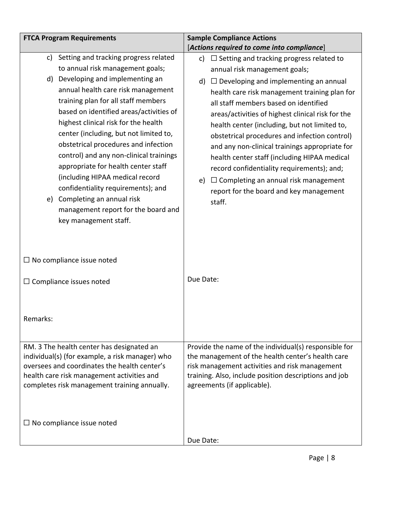| <b>FTCA Program Requirements</b> |                                                                                                                                                                                                                                                                                                                                                                                                                                                                                                                                                                                                                          | <b>Sample Compliance Actions</b>                                                                                                                                                                                                                                                                                                                                                                                                                                                                                                                                                                                                                        |
|----------------------------------|--------------------------------------------------------------------------------------------------------------------------------------------------------------------------------------------------------------------------------------------------------------------------------------------------------------------------------------------------------------------------------------------------------------------------------------------------------------------------------------------------------------------------------------------------------------------------------------------------------------------------|---------------------------------------------------------------------------------------------------------------------------------------------------------------------------------------------------------------------------------------------------------------------------------------------------------------------------------------------------------------------------------------------------------------------------------------------------------------------------------------------------------------------------------------------------------------------------------------------------------------------------------------------------------|
|                                  |                                                                                                                                                                                                                                                                                                                                                                                                                                                                                                                                                                                                                          | [Actions required to come into compliance]                                                                                                                                                                                                                                                                                                                                                                                                                                                                                                                                                                                                              |
| c)<br>d)                         | Setting and tracking progress related<br>to annual risk management goals;<br>Developing and implementing an<br>annual health care risk management<br>training plan for all staff members<br>based on identified areas/activities of<br>highest clinical risk for the health<br>center (including, but not limited to,<br>obstetrical procedures and infection<br>control) and any non-clinical trainings<br>appropriate for health center staff<br>(including HIPAA medical record<br>confidentiality requirements); and<br>e) Completing an annual risk<br>management report for the board and<br>key management staff. | $\Box$ Setting and tracking progress related to<br>c)<br>annual risk management goals;<br>$\Box$ Developing and implementing an annual<br>d)<br>health care risk management training plan for<br>all staff members based on identified<br>areas/activities of highest clinical risk for the<br>health center (including, but not limited to,<br>obstetrical procedures and infection control)<br>and any non-clinical trainings appropriate for<br>health center staff (including HIPAA medical<br>record confidentiality requirements); and;<br>$\Box$ Completing an annual risk management<br>e)<br>report for the board and key management<br>staff. |
|                                  | $\Box$ No compliance issue noted                                                                                                                                                                                                                                                                                                                                                                                                                                                                                                                                                                                         | Due Date:                                                                                                                                                                                                                                                                                                                                                                                                                                                                                                                                                                                                                                               |
| Remarks:                         | $\Box$ Compliance issues noted                                                                                                                                                                                                                                                                                                                                                                                                                                                                                                                                                                                           |                                                                                                                                                                                                                                                                                                                                                                                                                                                                                                                                                                                                                                                         |
|                                  | RM. 3 The health center has designated an<br>individual(s) (for example, a risk manager) who<br>oversees and coordinates the health center's<br>health care risk management activities and<br>completes risk management training annually.                                                                                                                                                                                                                                                                                                                                                                               | Provide the name of the individual(s) responsible for<br>the management of the health center's health care<br>risk management activities and risk management<br>training. Also, include position descriptions and job<br>agreements (if applicable).                                                                                                                                                                                                                                                                                                                                                                                                    |
|                                  | $\Box$ No compliance issue noted                                                                                                                                                                                                                                                                                                                                                                                                                                                                                                                                                                                         | Due Date:                                                                                                                                                                                                                                                                                                                                                                                                                                                                                                                                                                                                                                               |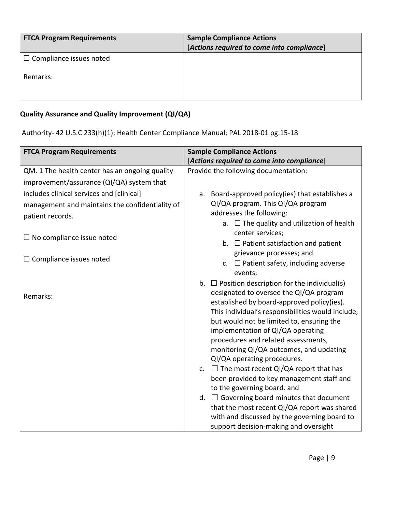| <b>FTCA Program Requirements</b> | <b>Sample Compliance Actions</b><br>[Actions required to come into compliance] |
|----------------------------------|--------------------------------------------------------------------------------|
| $\Box$ Compliance issues noted   |                                                                                |
| Remarks:                         |                                                                                |

## **Quality Assurance and Quality Improvement (QI/QA)**

Authority- 42 U.S.C 233(h)(1); Health Center Compliance Manual; PAL 2018-01 pg.15-18

| <b>FTCA Program Requirements</b>                | <b>Sample Compliance Actions</b>                                                                                                                                                         |
|-------------------------------------------------|------------------------------------------------------------------------------------------------------------------------------------------------------------------------------------------|
|                                                 | [Actions required to come into compliance]                                                                                                                                               |
| QM. 1 The health center has an ongoing quality  | Provide the following documentation:                                                                                                                                                     |
| improvement/assurance (QI/QA) system that       |                                                                                                                                                                                          |
| includes clinical services and [clinical]       | Board-approved policy(ies) that establishes a<br>a.                                                                                                                                      |
| management and maintains the confidentiality of | QI/QA program. This QI/QA program                                                                                                                                                        |
| patient records.                                | addresses the following:                                                                                                                                                                 |
|                                                 | a. $\Box$ The quality and utilization of health                                                                                                                                          |
| $\Box$ No compliance issue noted                | center services;                                                                                                                                                                         |
|                                                 | b. $\Box$ Patient satisfaction and patient<br>grievance processes; and                                                                                                                   |
| $\Box$ Compliance issues noted                  | c. $\Box$ Patient safety, including adverse                                                                                                                                              |
|                                                 | events;                                                                                                                                                                                  |
|                                                 | b. $\Box$ Position description for the individual(s)                                                                                                                                     |
| Remarks:                                        | designated to oversee the QI/QA program                                                                                                                                                  |
|                                                 | established by board-approved policy(ies).                                                                                                                                               |
|                                                 | This individual's responsibilities would include,                                                                                                                                        |
|                                                 | but would not be limited to, ensuring the<br>implementation of QI/QA operating                                                                                                           |
|                                                 | procedures and related assessments,                                                                                                                                                      |
|                                                 | monitoring QI/QA outcomes, and updating                                                                                                                                                  |
|                                                 | QI/QA operating procedures.                                                                                                                                                              |
|                                                 | c. $\Box$ The most recent QI/QA report that has                                                                                                                                          |
|                                                 | been provided to key management staff and                                                                                                                                                |
|                                                 | to the governing board. and                                                                                                                                                              |
|                                                 |                                                                                                                                                                                          |
|                                                 |                                                                                                                                                                                          |
|                                                 |                                                                                                                                                                                          |
|                                                 | d. $\Box$ Governing board minutes that document<br>that the most recent QI/QA report was shared<br>with and discussed by the governing board to<br>support decision-making and oversight |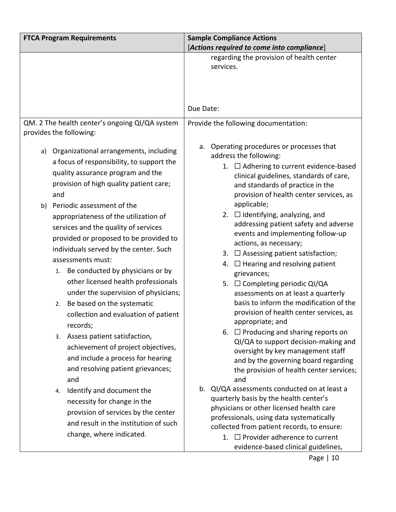| <b>FTCA Program Requirements</b>   |                                                                                                                                                                                                                                                                                                                                                                                                                                                                                                                                                                                                                                                                                                                                                                                                                                                           | <b>Sample Compliance Actions</b><br>[Actions required to come into compliance]                                                                                                                                                                                                                                                                                                                                                                                                                                                                                                                                                                                                                                                                                                                                                                                                                                                                                                                                                                                                                        |
|------------------------------------|-----------------------------------------------------------------------------------------------------------------------------------------------------------------------------------------------------------------------------------------------------------------------------------------------------------------------------------------------------------------------------------------------------------------------------------------------------------------------------------------------------------------------------------------------------------------------------------------------------------------------------------------------------------------------------------------------------------------------------------------------------------------------------------------------------------------------------------------------------------|-------------------------------------------------------------------------------------------------------------------------------------------------------------------------------------------------------------------------------------------------------------------------------------------------------------------------------------------------------------------------------------------------------------------------------------------------------------------------------------------------------------------------------------------------------------------------------------------------------------------------------------------------------------------------------------------------------------------------------------------------------------------------------------------------------------------------------------------------------------------------------------------------------------------------------------------------------------------------------------------------------------------------------------------------------------------------------------------------------|
|                                    |                                                                                                                                                                                                                                                                                                                                                                                                                                                                                                                                                                                                                                                                                                                                                                                                                                                           | regarding the provision of health center<br>services.<br>Due Date:                                                                                                                                                                                                                                                                                                                                                                                                                                                                                                                                                                                                                                                                                                                                                                                                                                                                                                                                                                                                                                    |
| provides the following:            | QM. 2 The health center's ongoing QI/QA system                                                                                                                                                                                                                                                                                                                                                                                                                                                                                                                                                                                                                                                                                                                                                                                                            | Provide the following documentation:                                                                                                                                                                                                                                                                                                                                                                                                                                                                                                                                                                                                                                                                                                                                                                                                                                                                                                                                                                                                                                                                  |
| a)<br>and<br>b)<br>2.<br>and<br>4. | Organizational arrangements, including<br>a focus of responsibility, to support the<br>quality assurance program and the<br>provision of high quality patient care;<br>Periodic assessment of the<br>appropriateness of the utilization of<br>services and the quality of services<br>provided or proposed to be provided to<br>individuals served by the center. Such<br>assessments must:<br>1. Be conducted by physicians or by<br>other licensed health professionals<br>under the supervision of physicians;<br>Be based on the systematic<br>collection and evaluation of patient<br>records;<br>3. Assess patient satisfaction,<br>achievement of project objectives,<br>and include a process for hearing<br>and resolving patient grievances;<br>Identify and document the<br>necessity for change in the<br>provision of services by the center | a. Operating procedures or processes that<br>address the following:<br>1. □ Adhering to current evidence-based<br>clinical guidelines, standards of care,<br>and standards of practice in the<br>provision of health center services, as<br>applicable;<br>2. □ Identifying, analyzing, and<br>addressing patient safety and adverse<br>events and implementing follow-up<br>actions, as necessary;<br>3. $\Box$ Assessing patient satisfaction;<br>4. $\Box$ Hearing and resolving patient<br>grievances;<br>5. □ Completing periodic QI/QA<br>assessments on at least a quarterly<br>basis to inform the modification of the<br>provision of health center services, as<br>appropriate; and<br>6. $\Box$ Producing and sharing reports on<br>QI/QA to support decision-making and<br>oversight by key management staff<br>and by the governing board regarding<br>the provision of health center services;<br>and<br>b. QI/QA assessments conducted on at least a<br>quarterly basis by the health center's<br>physicians or other licensed health care<br>professionals, using data systematically |
|                                    | and result in the institution of such<br>change, where indicated.                                                                                                                                                                                                                                                                                                                                                                                                                                                                                                                                                                                                                                                                                                                                                                                         | collected from patient records, to ensure:<br>1. $\Box$ Provider adherence to current<br>evidence-based clinical guidelines,                                                                                                                                                                                                                                                                                                                                                                                                                                                                                                                                                                                                                                                                                                                                                                                                                                                                                                                                                                          |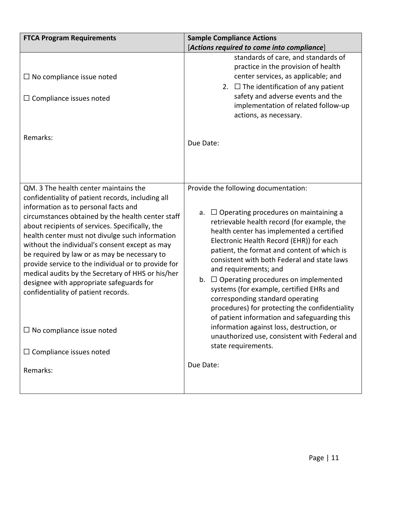| <b>FTCA Program Requirements</b>                                                                                                                                                                                                                                                                                                                                                                                                                                                                                                                                                                                                                                     | <b>Sample Compliance Actions</b>                                                                                                                                                                                                                                                                                                                                                                                                                                                                                                                                                                                                                                                                                  |
|----------------------------------------------------------------------------------------------------------------------------------------------------------------------------------------------------------------------------------------------------------------------------------------------------------------------------------------------------------------------------------------------------------------------------------------------------------------------------------------------------------------------------------------------------------------------------------------------------------------------------------------------------------------------|-------------------------------------------------------------------------------------------------------------------------------------------------------------------------------------------------------------------------------------------------------------------------------------------------------------------------------------------------------------------------------------------------------------------------------------------------------------------------------------------------------------------------------------------------------------------------------------------------------------------------------------------------------------------------------------------------------------------|
|                                                                                                                                                                                                                                                                                                                                                                                                                                                                                                                                                                                                                                                                      | [Actions required to come into compliance]                                                                                                                                                                                                                                                                                                                                                                                                                                                                                                                                                                                                                                                                        |
| $\Box$ No compliance issue noted<br>$\Box$ Compliance issues noted                                                                                                                                                                                                                                                                                                                                                                                                                                                                                                                                                                                                   | standards of care, and standards of<br>practice in the provision of health<br>center services, as applicable; and<br>2. $\Box$ The identification of any patient<br>safety and adverse events and the<br>implementation of related follow-up<br>actions, as necessary.                                                                                                                                                                                                                                                                                                                                                                                                                                            |
| Remarks:                                                                                                                                                                                                                                                                                                                                                                                                                                                                                                                                                                                                                                                             | Due Date:                                                                                                                                                                                                                                                                                                                                                                                                                                                                                                                                                                                                                                                                                                         |
| QM. 3 The health center maintains the<br>confidentiality of patient records, including all<br>information as to personal facts and<br>circumstances obtained by the health center staff<br>about recipients of services. Specifically, the<br>health center must not divulge such information<br>without the individual's consent except as may<br>be required by law or as may be necessary to<br>provide service to the individual or to provide for<br>medical audits by the Secretary of HHS or his/her<br>designee with appropriate safeguards for<br>confidentiality of patient records.<br>$\Box$ No compliance issue noted<br>$\Box$ Compliance issues noted | Provide the following documentation:<br>$\Box$ Operating procedures on maintaining a<br>a.<br>retrievable health record (for example, the<br>health center has implemented a certified<br>Electronic Health Record (EHR)) for each<br>patient, the format and content of which is<br>consistent with both Federal and state laws<br>and requirements; and<br>b. $\Box$ Operating procedures on implemented<br>systems (for example, certified EHRs and<br>corresponding standard operating<br>procedures) for protecting the confidentiality<br>of patient information and safeguarding this<br>information against loss, destruction, or<br>unauthorized use, consistent with Federal and<br>state requirements. |
| Remarks:                                                                                                                                                                                                                                                                                                                                                                                                                                                                                                                                                                                                                                                             | Due Date:                                                                                                                                                                                                                                                                                                                                                                                                                                                                                                                                                                                                                                                                                                         |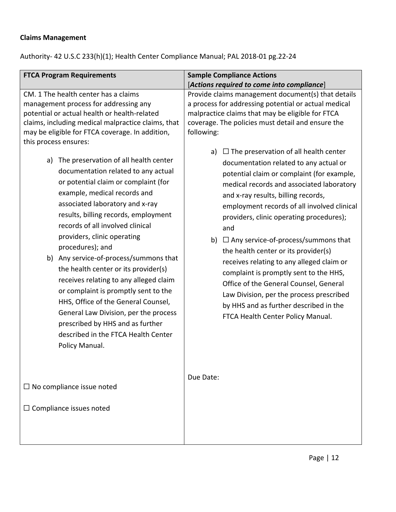### **Claims Management**

Authority- 42 U.S.C 233(h)(1); Health Center Compliance Manual; PAL 2018-01 pg.22-24

| [Actions required to come into compliance]                                                                                                                                                                                                                                                                                                                                                                                                                                                                                                                                                                                                                                                                                                                                                                                                                                                                                                                     |
|----------------------------------------------------------------------------------------------------------------------------------------------------------------------------------------------------------------------------------------------------------------------------------------------------------------------------------------------------------------------------------------------------------------------------------------------------------------------------------------------------------------------------------------------------------------------------------------------------------------------------------------------------------------------------------------------------------------------------------------------------------------------------------------------------------------------------------------------------------------------------------------------------------------------------------------------------------------|
| <b>Sample Compliance Actions</b><br>Provide claims management document(s) that details<br>a process for addressing potential or actual medical<br>malpractice claims that may be eligible for FTCA<br>coverage. The policies must detail and ensure the<br>following:<br>a) $\Box$ The preservation of all health center<br>documentation related to any actual or<br>potential claim or complaint (for example,<br>medical records and associated laboratory<br>and x-ray results, billing records,<br>employment records of all involved clinical<br>providers, clinic operating procedures);<br>and<br>$\Box$ Any service-of-process/summons that<br>b)<br>the health center or its provider(s)<br>receives relating to any alleged claim or<br>complaint is promptly sent to the HHS,<br>Office of the General Counsel, General<br>Law Division, per the process prescribed<br>by HHS and as further described in the<br>FTCA Health Center Policy Manual. |
| Due Date:                                                                                                                                                                                                                                                                                                                                                                                                                                                                                                                                                                                                                                                                                                                                                                                                                                                                                                                                                      |
|                                                                                                                                                                                                                                                                                                                                                                                                                                                                                                                                                                                                                                                                                                                                                                                                                                                                                                                                                                |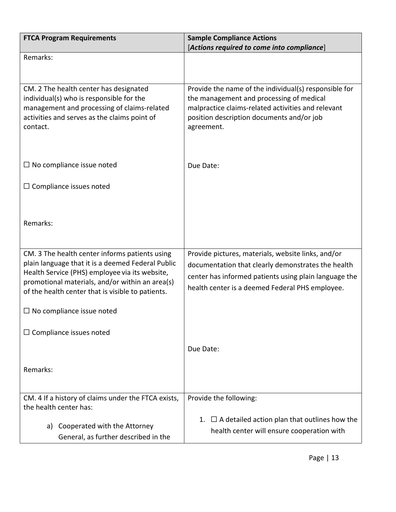| <b>FTCA Program Requirements</b>                                                                    | <b>Sample Compliance Actions</b>                                                                  |
|-----------------------------------------------------------------------------------------------------|---------------------------------------------------------------------------------------------------|
|                                                                                                     | [Actions required to come into compliance]                                                        |
| Remarks:                                                                                            |                                                                                                   |
|                                                                                                     |                                                                                                   |
|                                                                                                     |                                                                                                   |
| CM. 2 The health center has designated<br>individual(s) who is responsible for the                  | Provide the name of the individual(s) responsible for<br>the management and processing of medical |
| management and processing of claims-related                                                         | malpractice claims-related activities and relevant                                                |
| activities and serves as the claims point of                                                        | position description documents and/or job                                                         |
| contact.                                                                                            | agreement.                                                                                        |
|                                                                                                     |                                                                                                   |
|                                                                                                     |                                                                                                   |
|                                                                                                     |                                                                                                   |
| $\Box$ No compliance issue noted                                                                    | Due Date:                                                                                         |
|                                                                                                     |                                                                                                   |
| $\Box$ Compliance issues noted                                                                      |                                                                                                   |
|                                                                                                     |                                                                                                   |
|                                                                                                     |                                                                                                   |
| Remarks:                                                                                            |                                                                                                   |
|                                                                                                     |                                                                                                   |
|                                                                                                     |                                                                                                   |
| CM. 3 The health center informs patients using                                                      | Provide pictures, materials, website links, and/or                                                |
| plain language that it is a deemed Federal Public<br>Health Service (PHS) employee via its website, | documentation that clearly demonstrates the health                                                |
| promotional materials, and/or within an area(s)                                                     | center has informed patients using plain language the                                             |
| of the health center that is visible to patients.                                                   | health center is a deemed Federal PHS employee.                                                   |
|                                                                                                     |                                                                                                   |
| $\Box$ No compliance issue noted                                                                    |                                                                                                   |
|                                                                                                     |                                                                                                   |
| $\Box$ Compliance issues noted                                                                      |                                                                                                   |
|                                                                                                     | Due Date:                                                                                         |
|                                                                                                     |                                                                                                   |
| Remarks:                                                                                            |                                                                                                   |
|                                                                                                     |                                                                                                   |
|                                                                                                     |                                                                                                   |
| CM. 4 If a history of claims under the FTCA exists,                                                 | Provide the following:                                                                            |
| the health center has:                                                                              |                                                                                                   |
| Cooperated with the Attorney<br>a)                                                                  | $\Box$ A detailed action plan that outlines how the<br>1.                                         |
| General, as further described in the                                                                | health center will ensure cooperation with                                                        |